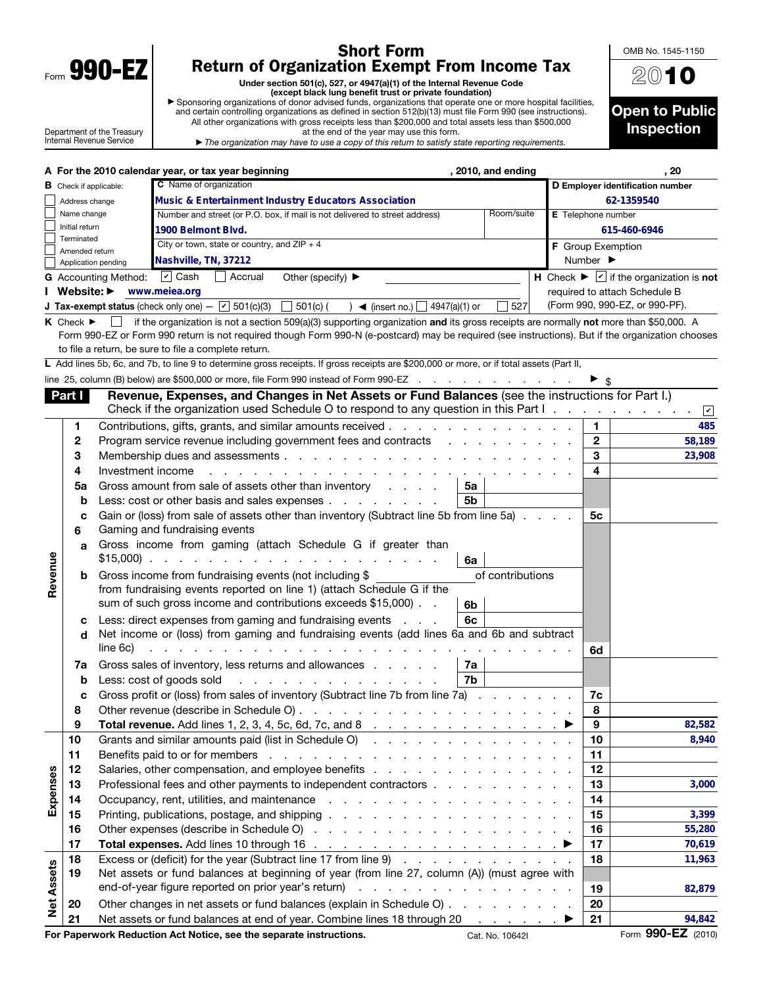| Form | Λ<br>V.<br>Y<br>Π<br>L |  |
|------|------------------------|--|
|      |                        |  |

 $\mathbf{I}$ 

## Short Form Return of Organization Exempt From Income Tax

Under section 501(c), 527, or 4947(a)(1) of the Internal Revenue Code<br>► Sponsoring organizations of donor advised funds trust or private foundation)<br>and certain controlling organizations as defined in section 512(b)(13) m All other organizations with gross receipts less than \$200,000 and total assets less than \$500,000

Department of the Treasury Internal Revenue Service

at the end of the year may use this form. ▶ *The organization may have to use a copy of this return to satisfy state reporting requirements.*



|                   |                                      |                             | A For the 2010 calendar year, or tax year beginning<br>, 2010, and ending                                                                         |                    |                              | , 20                                                                                                          |
|-------------------|--------------------------------------|-----------------------------|---------------------------------------------------------------------------------------------------------------------------------------------------|--------------------|------------------------------|---------------------------------------------------------------------------------------------------------------|
|                   | <b>B</b> Check if applicable:        |                             | C Name of organization                                                                                                                            |                    |                              | D Employer identification number                                                                              |
|                   | Address change                       |                             | <b>Music &amp; Entertainment Industry Educators Association</b>                                                                                   |                    |                              | 62-1359540                                                                                                    |
|                   | Name change                          |                             | Room/suite<br>Number and street (or P.O. box, if mail is not delivered to street address)                                                         | E Telephone number |                              |                                                                                                               |
|                   | Initial return                       |                             | 1900 Belmont Blvd.                                                                                                                                |                    |                              | 615-460-6946                                                                                                  |
|                   | Terminated<br>Amended return         |                             | City or town, state or country, and $ZIP + 4$                                                                                                     |                    |                              | F Group Exemption                                                                                             |
|                   | Application pending                  |                             | Nashville, TN, 37212                                                                                                                              |                    | Number $\blacktriangleright$ |                                                                                                               |
|                   |                                      | G Accounting Method: D Cash | $\Box$ Accrual<br>Other (specify) $\blacktriangleright$                                                                                           |                    |                              | <b>H</b> Check $\blacktriangleright \lfloor \underline{\mathsf{v}} \rfloor$ if the organization is <b>not</b> |
|                   | I Website: ▶                         |                             | www.meiea.org                                                                                                                                     |                    |                              | required to attach Schedule B                                                                                 |
|                   |                                      |                             | <b>J Tax-exempt status</b> (check only one) $ \boxed{\mathbf{v}}$ 501(c)(3)<br>$\Box$ 501(c) (<br>527<br>$\log$ (insert no.) $\log$ 4947(a)(1) or |                    |                              | (Form 990, 990-EZ, or 990-PF).                                                                                |
|                   | <b>K</b> Check $\blacktriangleright$ | $\perp$                     | if the organization is not a section 509(a)(3) supporting organization and its gross receipts are normally not more than \$50,000. A              |                    |                              |                                                                                                               |
|                   |                                      |                             | Form 990-EZ or Form 990 return is not required though Form 990-N (e-postcard) may be required (see instructions). But if the organization chooses |                    |                              |                                                                                                               |
|                   |                                      |                             | to file a return, be sure to file a complete return.                                                                                              |                    |                              |                                                                                                               |
|                   |                                      |                             | L Add lines 5b, 6c, and 7b, to line 9 to determine gross receipts. If gross receipts are \$200,000 or more, or if total assets (Part II,          |                    |                              |                                                                                                               |
|                   |                                      |                             | line 25, column (B) below) are \$500,000 or more, file Form 990 instead of Form 990-EZ                                                            |                    |                              |                                                                                                               |
|                   | Part I                               |                             | Revenue, Expenses, and Changes in Net Assets or Fund Balances (see the instructions for Part I.)                                                  |                    |                              |                                                                                                               |
|                   |                                      |                             | Check if the organization used Schedule O to respond to any question in this Part I.                                                              |                    |                              | $\vert\mathbf{v}\vert$                                                                                        |
|                   | 1                                    |                             | Contributions, gifts, grants, and similar amounts received                                                                                        |                    | 1.                           | 485                                                                                                           |
|                   | 2                                    |                             | Program service revenue including government fees and contracts                                                                                   |                    | $\mathbf{2}$                 | 58,189                                                                                                        |
|                   | 3                                    |                             |                                                                                                                                                   |                    | 3                            | 23,908                                                                                                        |
|                   | 4                                    | Investment income           |                                                                                                                                                   |                    | 4                            |                                                                                                               |
|                   | 5a                                   |                             | Gross amount from sale of assets other than inventory<br>5а                                                                                       |                    |                              |                                                                                                               |
|                   | b                                    |                             | Less: cost or other basis and sales expenses<br>5b                                                                                                |                    |                              |                                                                                                               |
|                   | с                                    |                             | Gain or (loss) from sale of assets other than inventory (Subtract line 5b from line 5a)                                                           |                    | 5c                           |                                                                                                               |
|                   | 6                                    |                             | Gaming and fundraising events                                                                                                                     |                    |                              |                                                                                                               |
|                   | a                                    |                             | Gross income from gaming (attach Schedule G if greater than                                                                                       |                    |                              |                                                                                                               |
|                   |                                      |                             | $$15,000$<br>6a                                                                                                                                   |                    |                              |                                                                                                               |
| Revenue           | b                                    |                             | of contributions<br>Gross income from fundraising events (not including \$                                                                        |                    |                              |                                                                                                               |
|                   |                                      |                             | from fundraising events reported on line 1) (attach Schedule G if the                                                                             |                    |                              |                                                                                                               |
|                   |                                      |                             | sum of such gross income and contributions exceeds \$15,000)<br>6b                                                                                |                    |                              |                                                                                                               |
|                   | с                                    |                             | 6с<br>Less: direct expenses from gaming and fundraising events                                                                                    |                    |                              |                                                                                                               |
|                   | d                                    |                             | Net income or (loss) from gaming and fundraising events (add lines 6a and 6b and subtract                                                         |                    |                              |                                                                                                               |
|                   |                                      | line 6c)                    | .                                                                                                                                                 |                    | 6d                           |                                                                                                               |
|                   | 7a                                   |                             | Gross sales of inventory, less returns and allowances<br>7a                                                                                       |                    |                              |                                                                                                               |
|                   | b                                    |                             | 7b<br>Less: cost of goods sold<br>the contract of the contract of the contract of                                                                 |                    |                              |                                                                                                               |
|                   | c                                    |                             | Gross profit or (loss) from sales of inventory (Subtract line 7b from line 7a)                                                                    |                    | 7c                           |                                                                                                               |
|                   | 8                                    |                             | Other revenue (describe in Schedule O)                                                                                                            |                    | 8                            |                                                                                                               |
|                   | 9                                    |                             | Total revenue. Add lines 1, 2, 3, 4, 5c, 6d, 7c, and 8                                                                                            |                    | $\boldsymbol{9}$             | 82,582                                                                                                        |
|                   | 10                                   |                             | Grants and similar amounts paid (list in Schedule O)                                                                                              |                    | 10                           | 8,940                                                                                                         |
|                   | 11                                   |                             |                                                                                                                                                   |                    | 11                           |                                                                                                               |
|                   | 12                                   |                             | Salaries, other compensation, and employee benefits                                                                                               |                    | 12                           |                                                                                                               |
|                   | 13                                   |                             | Professional fees and other payments to independent contractors                                                                                   |                    | 13                           | 3,000                                                                                                         |
| Expenses          | 14                                   |                             |                                                                                                                                                   |                    | 14                           |                                                                                                               |
|                   | 15                                   |                             |                                                                                                                                                   |                    | 15                           | 3,399                                                                                                         |
|                   | 16                                   |                             |                                                                                                                                                   |                    | 16                           | 55,280                                                                                                        |
|                   | 17                                   |                             |                                                                                                                                                   |                    | 17                           | 70,619                                                                                                        |
|                   | 18                                   |                             | Excess or (deficit) for the year (Subtract line 17 from line 9)                                                                                   |                    | 18                           | 11,963                                                                                                        |
|                   | 19                                   |                             | Net assets or fund balances at beginning of year (from line 27, column (A)) (must agree with                                                      |                    |                              |                                                                                                               |
|                   |                                      |                             | end-of-year figure reported on prior year's return)                                                                                               |                    | 19                           | 82,879                                                                                                        |
| <b>Net Assets</b> | 20                                   |                             | Other changes in net assets or fund balances (explain in Schedule O)                                                                              |                    | 20                           |                                                                                                               |
|                   | 21                                   |                             | Net assets or fund balances at end of year. Combine lines 18 through 20 ▶                                                                         |                    | 21                           | 94,842                                                                                                        |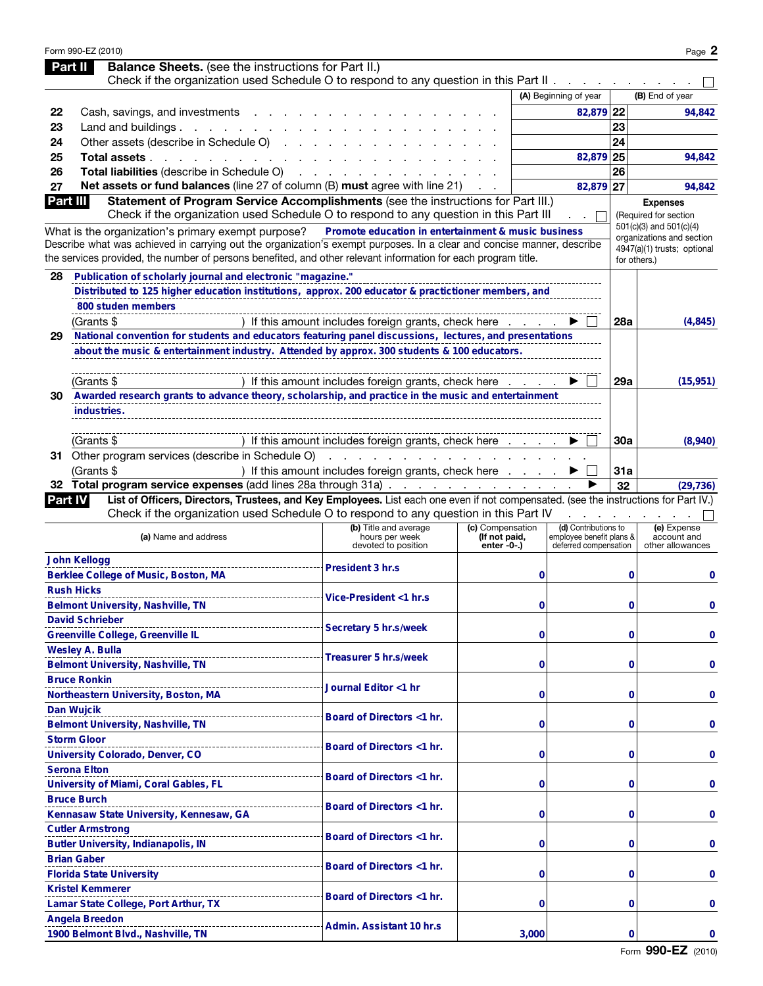|                | Form 990-EZ (2010)<br><b>Balance Sheets.</b> (see the instructions for Part II.)<br>Part II                                                                                                                                              |                                                                                                             |                              |                                                   |            | Page 2                                           |
|----------------|------------------------------------------------------------------------------------------------------------------------------------------------------------------------------------------------------------------------------------------|-------------------------------------------------------------------------------------------------------------|------------------------------|---------------------------------------------------|------------|--------------------------------------------------|
|                | Check if the organization used Schedule O to respond to any question in this Part II.                                                                                                                                                    |                                                                                                             |                              | <b>Contract Contract</b>                          |            |                                                  |
|                |                                                                                                                                                                                                                                          |                                                                                                             |                              | (A) Beginning of year                             |            | (B) End of year                                  |
| 22             | Cash, savings, and investments                                                                                                                                                                                                           |                                                                                                             |                              | 82,879 22                                         |            | 94,842                                           |
| 23             | Land and buildings $\ldots$ $\ldots$ $\ldots$                                                                                                                                                                                            |                                                                                                             |                              |                                                   | 23         |                                                  |
| 24             | Other assets (describe in Schedule O)                                                                                                                                                                                                    |                                                                                                             |                              |                                                   | 24         |                                                  |
| 25             | Total assets.<br>and a state of the state of                                                                                                                                                                                             |                                                                                                             |                              | 82,879 25                                         |            | 94,842                                           |
| 26             | Total liabilities (describe in Schedule O)                                                                                                                                                                                               |                                                                                                             |                              |                                                   | 26         |                                                  |
| 27             | Net assets or fund balances (line 27 of column (B) must agree with line 21)                                                                                                                                                              |                                                                                                             |                              | 82,879 27                                         |            | 94,842                                           |
| Part III       | Statement of Program Service Accomplishments (see the instructions for Part III.)                                                                                                                                                        |                                                                                                             |                              |                                                   |            | <b>Expenses</b>                                  |
|                | Check if the organization used Schedule O to respond to any question in this Part III                                                                                                                                                    |                                                                                                             |                              |                                                   |            | (Required for section<br>501(c)(3) and 501(c)(4) |
|                | What is the organization's primary exempt purpose?                                                                                                                                                                                       | Promote education in entertainment & music business                                                         |                              |                                                   |            | organizations and section                        |
|                | Describe what was achieved in carrying out the organization's exempt purposes. In a clear and concise manner, describe<br>the services provided, the number of persons benefited, and other relevant information for each program title. |                                                                                                             |                              |                                                   |            | 4947(a)(1) trusts; optional<br>for others.)      |
|                |                                                                                                                                                                                                                                          |                                                                                                             |                              |                                                   |            |                                                  |
| 28             | Publication of scholarly journal and electronic "magazine."                                                                                                                                                                              |                                                                                                             |                              |                                                   |            |                                                  |
|                | Distributed to 125 higher education institutions, approx. 200 educator & practictioner members, and                                                                                                                                      |                                                                                                             |                              |                                                   |            |                                                  |
|                | 800 studen members                                                                                                                                                                                                                       |                                                                                                             |                              |                                                   |            |                                                  |
|                | (Grants \$                                                                                                                                                                                                                               | If this amount includes foreign grants, check here                                                          |                              |                                                   | 28a        | (4, 845)                                         |
| 29             | National convention for students and educators featuring panel discussions, lectures, and presentations                                                                                                                                  |                                                                                                             |                              |                                                   |            |                                                  |
|                | about the music & entertainment industry. Attended by approx. 300 students & 100 educators.                                                                                                                                              |                                                                                                             |                              |                                                   |            |                                                  |
|                |                                                                                                                                                                                                                                          |                                                                                                             |                              |                                                   | 29a        |                                                  |
|                | (Grants \$<br>Awarded research grants to advance theory, scholarship, and practice in the music and entertainment                                                                                                                        | If this amount includes foreign grants, check here                                                          |                              |                                                   |            | (15, 951)                                        |
| 30             |                                                                                                                                                                                                                                          |                                                                                                             |                              |                                                   |            |                                                  |
|                | industries.                                                                                                                                                                                                                              |                                                                                                             |                              |                                                   |            |                                                  |
|                | (Grants \$                                                                                                                                                                                                                               | ) If this amount includes foreign grants, check here                                                        |                              |                                                   | <b>30a</b> | (8,940)                                          |
|                | 31 Other program services (describe in Schedule O)                                                                                                                                                                                       |                                                                                                             |                              |                                                   |            |                                                  |
|                | (Grants \$                                                                                                                                                                                                                               | the contract of the contract of the contract of the<br>) If this amount includes foreign grants, check here |                              |                                                   | 31a        |                                                  |
|                | 32 Total program service expenses (add lines 28a through 31a)                                                                                                                                                                            |                                                                                                             |                              | ►                                                 | 32         | (29, 736)                                        |
| <b>Part IV</b> | List of Officers, Directors, Trustees, and Key Employees. List each one even if not compensated. (see the instructions for Part IV.)                                                                                                     |                                                                                                             |                              |                                                   |            |                                                  |
|                | Check if the organization used Schedule O to respond to any question in this Part IV                                                                                                                                                     |                                                                                                             |                              |                                                   |            |                                                  |
|                |                                                                                                                                                                                                                                          | (b) Title and average                                                                                       | (c) Compensation             | (d) Contributions to                              |            | (e) Expense                                      |
|                | (a) Name and address                                                                                                                                                                                                                     | hours per week<br>devoted to position                                                                       | (If not paid,<br>enter -0-.) | employee benefit plans &<br>deferred compensation |            | account and<br>other allowances                  |
|                | <b>John Kellogg</b>                                                                                                                                                                                                                      |                                                                                                             |                              |                                                   |            |                                                  |
|                | Berklee College of Music, Boston, MA                                                                                                                                                                                                     | President 3 hr.s                                                                                            | 0                            |                                                   | 0          | 0                                                |
|                | <b>Rush Hicks</b>                                                                                                                                                                                                                        |                                                                                                             |                              |                                                   |            |                                                  |
|                | <b>Belmont University, Nashville, TN</b>                                                                                                                                                                                                 | Vice-President <1 hr.s                                                                                      | 0                            |                                                   | 0          | 0                                                |
|                | <b>David Schrieber</b>                                                                                                                                                                                                                   |                                                                                                             |                              |                                                   |            |                                                  |
|                | Greenville College, Greenville IL                                                                                                                                                                                                        | Secretary 5 hr.s/week                                                                                       | 0                            |                                                   | 0          | 0                                                |
|                | <b>Wesley A. Bulla</b>                                                                                                                                                                                                                   |                                                                                                             |                              |                                                   |            |                                                  |
|                | Belmont University, Nashville, TN                                                                                                                                                                                                        | Treasurer 5 hr.s/week                                                                                       | 0                            |                                                   | 0          | 0                                                |
|                | <b>Bruce Ronkin</b>                                                                                                                                                                                                                      |                                                                                                             |                              |                                                   |            |                                                  |
|                | Northeastern University, Boston, MA                                                                                                                                                                                                      | Journal Editor <1 hr                                                                                        | 0                            |                                                   | $\bf{0}$   | 0                                                |
|                | Dan Wujcik                                                                                                                                                                                                                               |                                                                                                             |                              |                                                   |            |                                                  |
|                | <b>Belmont University, Nashville, TN</b>                                                                                                                                                                                                 | Board of Directors <1 hr.                                                                                   | 0                            |                                                   | $\bf{0}$   | 0                                                |
|                | <b>Storm Gloor</b>                                                                                                                                                                                                                       |                                                                                                             |                              |                                                   |            |                                                  |
|                | University Colorado, Denver, CO                                                                                                                                                                                                          | Board of Directors <1 hr.                                                                                   | 0                            |                                                   | $\bf{0}$   | 0                                                |
|                | <b>Serona Elton</b>                                                                                                                                                                                                                      |                                                                                                             |                              |                                                   |            |                                                  |
|                | University of Miami, Coral Gables, FL                                                                                                                                                                                                    | Board of Directors <1 hr.                                                                                   | 0                            |                                                   | $\bf{0}$   | 0                                                |
|                | <b>Bruce Burch</b>                                                                                                                                                                                                                       |                                                                                                             |                              |                                                   |            |                                                  |
|                | Kennasaw State University, Kennesaw, GA                                                                                                                                                                                                  | Board of Directors <1 hr.                                                                                   | 0                            |                                                   | $\bf{0}$   | 0                                                |
|                | <b>Cutler Armstrong</b>                                                                                                                                                                                                                  |                                                                                                             |                              |                                                   |            |                                                  |
|                | <b>Butler University, Indianapolis, IN</b>                                                                                                                                                                                               | Board of Directors <1 hr.                                                                                   | 0                            |                                                   | $\bf{0}$   | 0                                                |
|                | <b>Brian Gaber</b>                                                                                                                                                                                                                       |                                                                                                             |                              |                                                   |            |                                                  |
|                | <b>Florida State University</b>                                                                                                                                                                                                          | Board of Directors <1 hr.                                                                                   | 0                            |                                                   | $\bf{0}$   | 0                                                |
|                | <b>Kristel Kemmerer</b>                                                                                                                                                                                                                  |                                                                                                             |                              |                                                   |            |                                                  |
|                | Lamar State College, Port Arthur, TX                                                                                                                                                                                                     | Board of Directors <1 hr.                                                                                   | 0                            |                                                   | 0          | 0                                                |
|                | <b>Angela Breedon</b>                                                                                                                                                                                                                    |                                                                                                             |                              |                                                   |            |                                                  |
|                | 1900 Belmont Blvd., Nashville, TN                                                                                                                                                                                                        | Admin. Assistant 10 hr.s                                                                                    | 3,000                        |                                                   | 0          | 0                                                |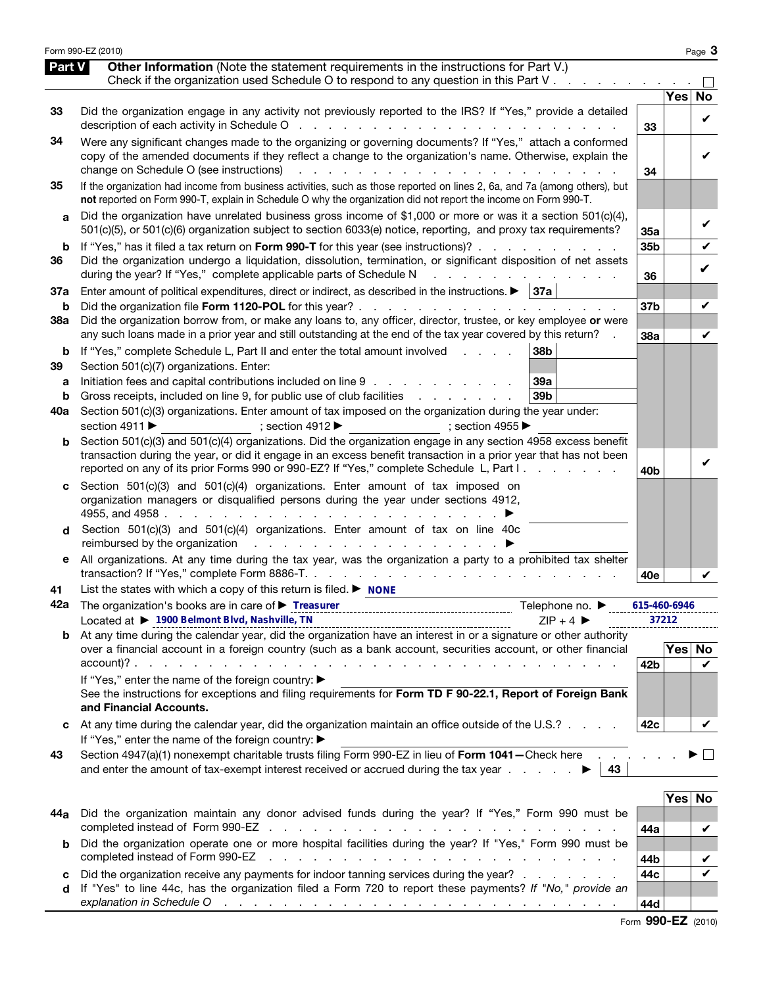|              | Form 990-EZ (2010)                                                                                                                                                                                                                                                                                                                                                                  |                       |            | Page 3  |
|--------------|-------------------------------------------------------------------------------------------------------------------------------------------------------------------------------------------------------------------------------------------------------------------------------------------------------------------------------------------------------------------------------------|-----------------------|------------|---------|
| Part V       | <b>Other Information</b> (Note the statement requirements in the instructions for Part V.)<br>Check if the organization used Schedule O to respond to any question in this Part V $\ldots$                                                                                                                                                                                          |                       |            |         |
|              |                                                                                                                                                                                                                                                                                                                                                                                     |                       | Yes        | No      |
| 33           | Did the organization engage in any activity not previously reported to the IRS? If "Yes," provide a detailed                                                                                                                                                                                                                                                                        | 33                    |            | V       |
| 34           | Were any significant changes made to the organizing or governing documents? If "Yes," attach a conformed<br>copy of the amended documents if they reflect a change to the organization's name. Otherwise, explain the<br>change on Schedule O (see instructions)<br>the contract of the contract of the contract of the contract of the contract of the contract of the contract of | 34                    |            | V       |
| 35           | If the organization had income from business activities, such as those reported on lines 2, 6a, and 7a (among others), but<br>not reported on Form 990-T, explain in Schedule O why the organization did not report the income on Form 990-T.                                                                                                                                       |                       |            |         |
| $\mathbf{a}$ | Did the organization have unrelated business gross income of \$1,000 or more or was it a section 501(c)(4),<br>501(c)(5), or 501(c)(6) organization subject to section 6033(e) notice, reporting, and proxy tax requirements?                                                                                                                                                       | 35a                   |            | V       |
| b            | If "Yes," has it filed a tax return on Form 990-T for this year (see instructions)?                                                                                                                                                                                                                                                                                                 | 35b                   |            | V       |
| 36           | Did the organization undergo a liquidation, dissolution, termination, or significant disposition of net assets<br>during the year? If "Yes," complete applicable parts of Schedule N<br>and the contract of the contract of                                                                                                                                                         | 36                    |            | V       |
| 37a          | Enter amount of political expenditures, direct or indirect, as described in the instructions. $\blacktriangleright$   37a                                                                                                                                                                                                                                                           |                       |            |         |
| b<br>38a     | Did the organization borrow from, or make any loans to, any officer, director, trustee, or key employee or were                                                                                                                                                                                                                                                                     | 37 <sub>b</sub>       |            | V       |
|              | any such loans made in a prior year and still outstanding at the end of the tax year covered by this return? .                                                                                                                                                                                                                                                                      | 38a                   |            | V       |
| b<br>39      | If "Yes," complete Schedule L, Part II and enter the total amount involved<br>38 <sub>b</sub><br>Section 501(c)(7) organizations. Enter:                                                                                                                                                                                                                                            |                       |            |         |
| а<br>b       | 39a<br>Initiation fees and capital contributions included on line 9<br>Gross receipts, included on line 9, for public use of club facilities<br>39 <sub>b</sub>                                                                                                                                                                                                                     |                       |            |         |
| 40a          | Section 501(c)(3) organizations. Enter amount of tax imposed on the organization during the year under:<br>section 4911 ▶<br>$; section 4912 \rightarrow$ ; section 4955                                                                                                                                                                                                            |                       |            |         |
| b            | Section 501(c)(3) and 501(c)(4) organizations. Did the organization engage in any section 4958 excess benefit<br>transaction during the year, or did it engage in an excess benefit transaction in a prior year that has not been<br>reported on any of its prior Forms 990 or 990-EZ? If "Yes," complete Schedule L, Part I.                                                       | 40 <sub>b</sub>       |            | V       |
| C            | Section 501(c)(3) and 501(c)(4) organizations. Enter amount of tax imposed on<br>organization managers or disqualified persons during the year under sections 4912,                                                                                                                                                                                                                 |                       |            |         |
| d            | Section 501(c)(3) and 501(c)(4) organizations. Enter amount of tax on line 40c                                                                                                                                                                                                                                                                                                      |                       |            |         |
| е            | All organizations. At any time during the tax year, was the organization a party to a prohibited tax shelter                                                                                                                                                                                                                                                                        | 40e                   |            | V       |
| 41           | List the states with which a copy of this return is filed. $\blacktriangleright$ NONE                                                                                                                                                                                                                                                                                               |                       |            |         |
|              | 42a The organization's books are in care of ▶ Treasurer<br>Telephone no. ▶<br>Located at ▶ 1900 Belmont Blvd, Nashville, TN<br>$ZIP + 4$                                                                                                                                                                                                                                            | 615-460-6946<br>37212 |            |         |
|              | <b>b</b> At any time during the calendar year, did the organization have an interest in or a signature or other authority                                                                                                                                                                                                                                                           |                       |            |         |
|              | over a financial account in a foreign country (such as a bank account, securities account, or other financial                                                                                                                                                                                                                                                                       |                       |            | Yes No  |
|              | If "Yes," enter the name of the foreign country: ▶                                                                                                                                                                                                                                                                                                                                  | 42 <sub>b</sub>       |            | V       |
|              | See the instructions for exceptions and filing requirements for Form TD F 90-22.1, Report of Foreign Bank<br>and Financial Accounts.                                                                                                                                                                                                                                                |                       |            |         |
| c            | At any time during the calendar year, did the organization maintain an office outside of the U.S.?<br>If "Yes," enter the name of the foreign country: ▶                                                                                                                                                                                                                            | 42c                   |            | V       |
| 43           | Section 4947(a)(1) nonexempt charitable trusts filing Form 990-EZ in lieu of Form 1041-Check here<br>and enter the amount of tax-exempt interest received or accrued during the tax year $\ldots$ $\ldots$<br>43                                                                                                                                                                    |                       |            | $\perp$ |
|              |                                                                                                                                                                                                                                                                                                                                                                                     |                       |            |         |
|              | 44a Did the organization maintain any donor advised funds during the year? If "Yes," Form 990 must be                                                                                                                                                                                                                                                                               |                       | <b>Yes</b> | No      |
| b            | Did the organization operate one or more hospital facilities during the year? If "Yes," Form 990 must be<br>completed instead of Form 990-EZ<br>the contract of the contract of the contract of the contract of the contract of                                                                                                                                                     | 44a                   |            | V       |
| c            | Did the organization receive any payments for indoor tanning services during the year?                                                                                                                                                                                                                                                                                              | 44b<br>44c            |            | V<br>V  |
| d            | If "Yes" to line 44c, has the organization filed a Form 720 to report these payments? If "No," provide an<br>explanation in Schedule O response in the contract of the contract of the contract of the contract of the contract of the contract of the contract of the contract of the contract of the contract of the contract of the cont                                         | 44d                   |            |         |

Form 990-EZ (2010)